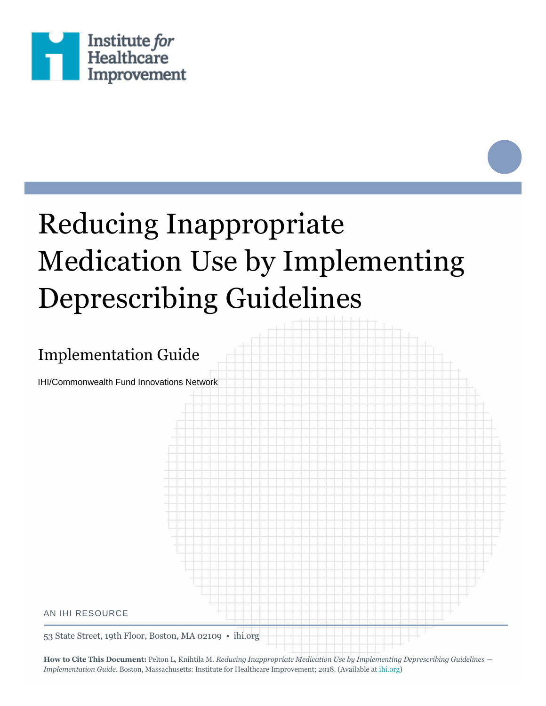

# Reducing Inappropriate Medication Use by Implementing Deprescribing Guidelines

# Implementation Guide

IHI/Commonwealth Fund Innovations Network



53 State Street, 19th Floor, Boston, MA 02109 • ihi.org

**How to Cite This Document:** Pelton L, Knihtila M. *Reducing Inappropriate Medication Use by Implementing Deprescribing Guidelines — Implementation Guide*. Boston, Massachusetts: Institute for Healthcare Improvement; 2018. (Available a[t ihi.org\)](http://www.ihi.org/)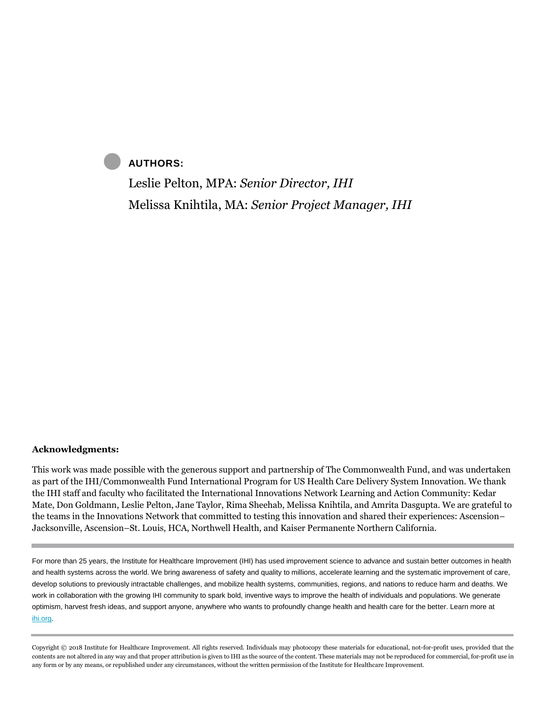### **AUTHORS:**

Leslie Pelton, MPA: *Senior Director, IHI* Melissa Knihtila, MA: *Senior Project Manager, IHI*

#### **Acknowledgments:**

This work was made possible with the generous support and partnership of The Commonwealth Fund, and was undertaken as part of the IHI/Commonwealth Fund International Program for US Health Care Delivery System Innovation. We thank the IHI staff and faculty who facilitated the International Innovations Network Learning and Action Community: Kedar Mate, Don Goldmann, Leslie Pelton, Jane Taylor, Rima Sheehab, Melissa Knihtila, and Amrita Dasgupta. We are grateful to the teams in the Innovations Network that committed to testing this innovation and shared their experiences: Ascension– Jacksonville, Ascension–St. Louis, HCA, Northwell Health, and Kaiser Permanente Northern California.

For more than 25 years, the Institute for Healthcare Improvement (IHI) has used improvement science to advance and sustain better outcomes in health and health systems across the world. We bring awareness of safety and quality to millions, accelerate learning and the systematic improvement of care, develop solutions to previously intractable challenges, and mobilize health systems, communities, regions, and nations to reduce harm and deaths. We work in collaboration with the growing IHI community to spark bold, inventive ways to improve the health of individuals and populations. We generate optimism, harvest fresh ideas, and support anyone, anywhere who wants to profoundly change health and health care for the better. Learn more at [ihi.org.](http://www.ihi.org/)

Copyright © 2018 Institute for Healthcare Improvement. All rights reserved. Individuals may photocopy these materials for educational, not-for-profit uses, provided that the contents are not altered in any way and that proper attribution is given to IHI as the source of the content. These materials may not be reproduced for commercial, for-profit use in any form or by any means, or republished under any circumstances, without the written permission of the Institute for Healthcare Improvement.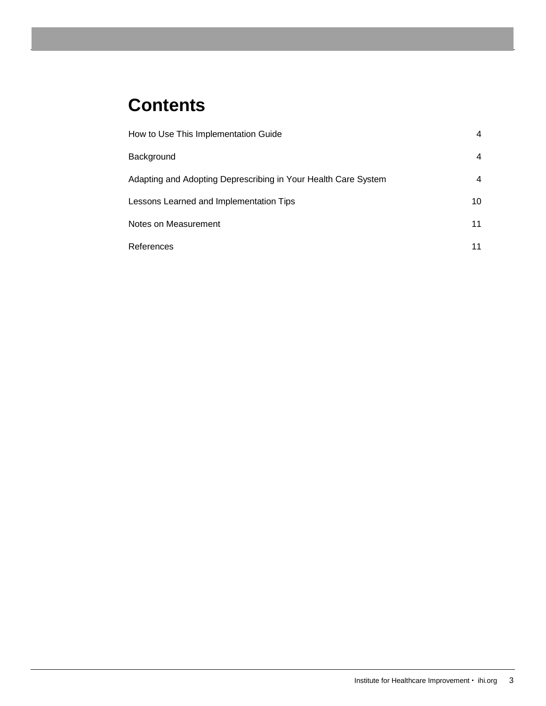# **Contents**

| How to Use This Implementation Guide                           | 4  |
|----------------------------------------------------------------|----|
| Background                                                     | 4  |
| Adapting and Adopting Deprescribing in Your Health Care System | 4  |
| Lessons Learned and Implementation Tips                        | 10 |
| Notes on Measurement                                           | 11 |
| References                                                     | 11 |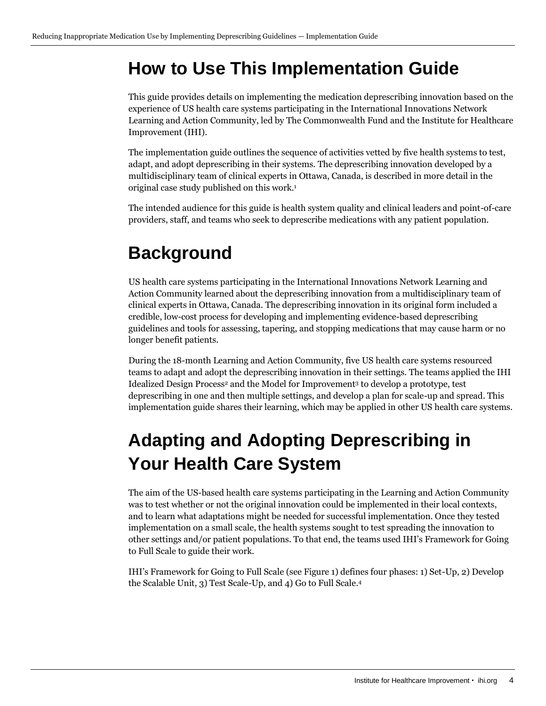# <span id="page-3-0"></span>**How to Use This Implementation Guide**

This guide provides details on implementing the medication deprescribing innovation based on the experience of US health care systems participating in the International Innovations Network Learning and Action Community, led by The Commonwealth Fund and the Institute for Healthcare Improvement (IHI).

The implementation guide outlines the sequence of activities vetted by five health systems to test, adapt, and adopt deprescribing in their systems. The deprescribing innovation developed by a multidisciplinary team of clinical experts in Ottawa, Canada, is described in more detail in the original case study published on this work.<sup>1</sup>

The intended audience for this guide is health system quality and clinical leaders and point-of-care providers, staff, and teams who seek to deprescribe medications with any patient population.

# <span id="page-3-1"></span>**Background**

US health care systems participating in the International Innovations Network Learning and Action Community learned about the deprescribing innovation from a multidisciplinary team of clinical experts in Ottawa, Canada. The deprescribing innovation in its original form included a credible, low-cost process for developing and implementing evidence-based deprescribing guidelines and tools for assessing, tapering, and stopping medications that may cause harm or no longer benefit patients.

During the 18-month Learning and Action Community, five US health care systems resourced teams to adapt and adopt the deprescribing innovation in their settings. The teams applied the IHI Idealized Design Process<sup>2</sup> and the Model for Improvement<sup>3</sup> to develop a prototype, test deprescribing in one and then multiple settings, and develop a plan for scale-up and spread. This implementation guide shares their learning, which may be applied in other US health care systems.

# <span id="page-3-2"></span>**Adapting and Adopting Deprescribing in Your Health Care System**

The aim of the US-based health care systems participating in the Learning and Action Community was to test whether or not the original innovation could be implemented in their local contexts, and to learn what adaptations might be needed for successful implementation. Once they tested implementation on a small scale, the health systems sought to test spreading the innovation to other settings and/or patient populations. To that end, the teams used IHI's Framework for Going to Full Scale to guide their work.

IHI's Framework for Going to Full Scale (see Figure 1) defines four phases: 1) Set-Up, 2) Develop the Scalable Unit, 3) Test Scale-Up, and 4) Go to Full Scale.4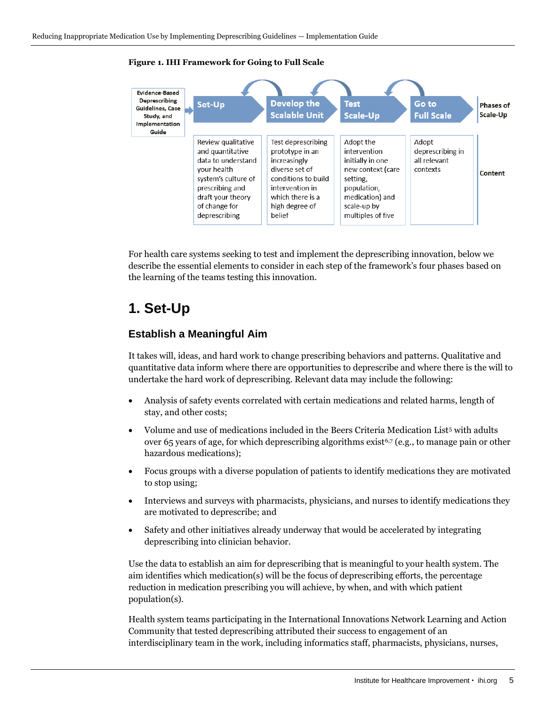

#### **Figure 1. IHI Framework for Going to Full Scale**

For health care systems seeking to test and implement the deprescribing innovation, below we describe the essential elements to consider in each step of the framework's four phases based on the learning of the teams testing this innovation.

### **1. Set-Up**

#### **Establish a Meaningful Aim**

It takes will, ideas, and hard work to change prescribing behaviors and patterns. Qualitative and quantitative data inform where there are opportunities to deprescribe and where there is the will to undertake the hard work of deprescribing. Relevant data may include the following:

- Analysis of safety events correlated with certain medications and related harms, length of stay, and other costs;
- Volume and use of medications included in the Beers Criteria Medication List<sup>5</sup> with adults over 65 years of age, for which deprescribing algorithms exist<sup>6,7</sup> (e.g., to manage pain or other hazardous medications);
- Focus groups with a diverse population of patients to identify medications they are motivated to stop using;
- Interviews and surveys with pharmacists, physicians, and nurses to identify medications they are motivated to deprescribe; and
- Safety and other initiatives already underway that would be accelerated by integrating deprescribing into clinician behavior.

Use the data to establish an aim for deprescribing that is meaningful to your health system. The aim identifies which medication(s) will be the focus of deprescribing efforts, the percentage reduction in medication prescribing you will achieve, by when, and with which patient population(s).

Health system teams participating in the International Innovations Network Learning and Action Community that tested deprescribing attributed their success to engagement of an interdisciplinary team in the work, including informatics staff, pharmacists, physicians, nurses,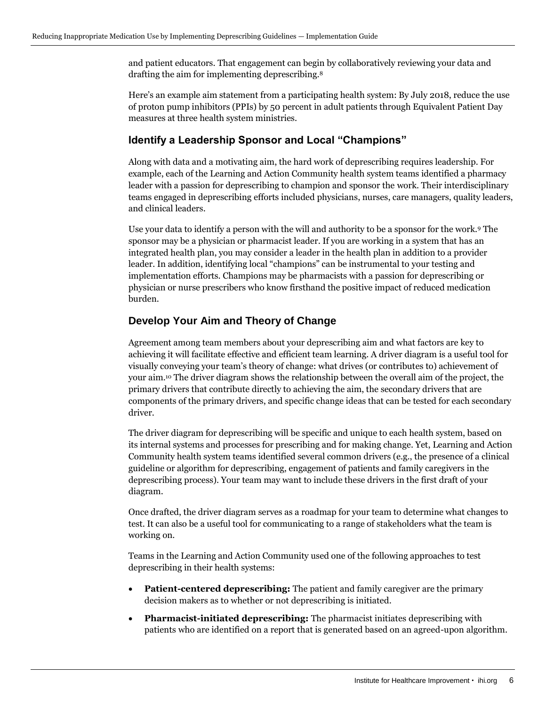and patient educators. That engagement can begin by collaboratively reviewing your data and drafting the aim for implementing deprescribing.<sup>8</sup>

Here's an example aim statement from a participating health system: By July 2018, reduce the use of proton pump inhibitors (PPIs) by 50 percent in adult patients through Equivalent Patient Day measures at three health system ministries.

### **Identify a Leadership Sponsor and Local "Champions"**

Along with data and a motivating aim, the hard work of deprescribing requires leadership. For example, each of the Learning and Action Community health system teams identified a pharmacy leader with a passion for deprescribing to champion and sponsor the work. Their interdisciplinary teams engaged in deprescribing efforts included physicians, nurses, care managers, quality leaders, and clinical leaders.

Use your data to identify a person with the will and authority to be a sponsor for the work.<sup>9</sup> The sponsor may be a physician or pharmacist leader. If you are working in a system that has an integrated health plan, you may consider a leader in the health plan in addition to a provider leader. In addition, identifying local "champions" can be instrumental to your testing and implementation efforts. Champions may be pharmacists with a passion for deprescribing or physician or nurse prescribers who know firsthand the positive impact of reduced medication burden.

### **Develop Your Aim and Theory of Change**

Agreement among team members about your deprescribing aim and what factors are key to achieving it will facilitate effective and efficient team learning. A driver diagram is a useful tool for visually conveying your team's theory of change: what drives (or contributes to) achievement of your aim.<sup>10</sup> The driver diagram shows the relationship between the overall aim of the project, the primary drivers that contribute directly to achieving the aim, the secondary drivers that are components of the primary drivers, and specific change ideas that can be tested for each secondary driver.

The driver diagram for deprescribing will be specific and unique to each health system, based on its internal systems and processes for prescribing and for making change. Yet, Learning and Action Community health system teams identified several common drivers (e.g., the presence of a clinical guideline or algorithm for deprescribing, engagement of patients and family caregivers in the deprescribing process). Your team may want to include these drivers in the first draft of your diagram.

Once drafted, the driver diagram serves as a roadmap for your team to determine what changes to test. It can also be a useful tool for communicating to a range of stakeholders what the team is working on.

Teams in the Learning and Action Community used one of the following approaches to test deprescribing in their health systems:

- **Patient-centered deprescribing:** The patient and family caregiver are the primary decision makers as to whether or not deprescribing is initiated.
- **Pharmacist-initiated deprescribing:** The pharmacist initiates deprescribing with patients who are identified on a report that is generated based on an agreed-upon algorithm.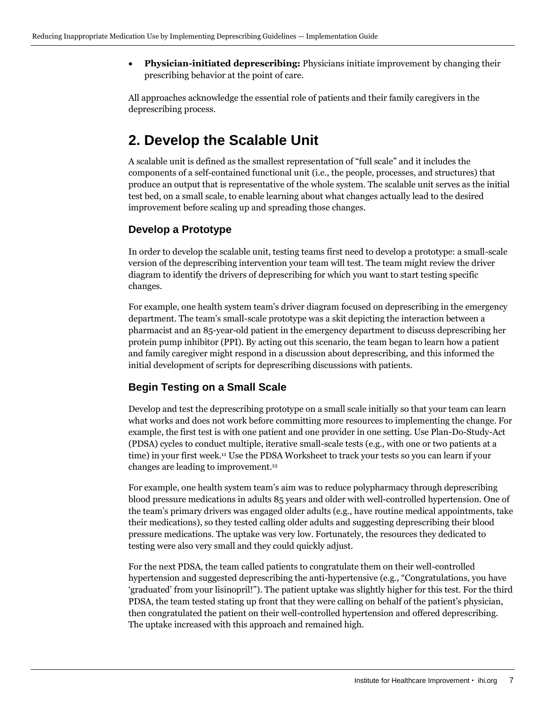• **Physician-initiated deprescribing:** Physicians initiate improvement by changing their prescribing behavior at the point of care.

All approaches acknowledge the essential role of patients and their family caregivers in the deprescribing process.

## **2. Develop the Scalable Unit**

A scalable unit is defined as the smallest representation of "full scale" and it includes the components of a self-contained functional unit (i.e., the people, processes, and structures) that produce an output that is representative of the whole system. The scalable unit serves as the initial test bed, on a small scale, to enable learning about what changes actually lead to the desired improvement before scaling up and spreading those changes.

### **Develop a Prototype**

In order to develop the scalable unit, testing teams first need to develop a prototype: a small-scale version of the deprescribing intervention your team will test. The team might review the driver diagram to identify the drivers of deprescribing for which you want to start testing specific changes.

For example, one health system team's driver diagram focused on deprescribing in the emergency department. The team's small-scale prototype was a skit depicting the interaction between a pharmacist and an 85-year-old patient in the emergency department to discuss deprescribing her protein pump inhibitor (PPI). By acting out this scenario, the team began to learn how a patient and family caregiver might respond in a discussion about deprescribing, and this informed the initial development of scripts for deprescribing discussions with patients.

### **Begin Testing on a Small Scale**

Develop and test the deprescribing prototype on a small scale initially so that your team can learn what works and does not work before committing more resources to implementing the change. For example, the first test is with one patient and one provider in one setting. Use Plan-Do-Study-Act (PDSA) cycles to conduct multiple, iterative small-scale tests (e.g., with one or two patients at a time) in your first week.<sup>11</sup> Use the PDSA Worksheet to track your tests so you can learn if your changes are leading to improvement.<sup>12</sup>

For example, one health system team's aim was to reduce polypharmacy through deprescribing blood pressure medications in adults 85 years and older with well-controlled hypertension. One of the team's primary drivers was engaged older adults (e.g., have routine medical appointments, take their medications), so they tested calling older adults and suggesting deprescribing their blood pressure medications. The uptake was very low. Fortunately, the resources they dedicated to testing were also very small and they could quickly adjust.

For the next PDSA, the team called patients to congratulate them on their well-controlled hypertension and suggested deprescribing the anti-hypertensive (e.g., "Congratulations, you have 'graduated' from your lisinopril!"). The patient uptake was slightly higher for this test. For the third PDSA, the team tested stating up front that they were calling on behalf of the patient's physician, then congratulated the patient on their well-controlled hypertension and offered deprescribing. The uptake increased with this approach and remained high.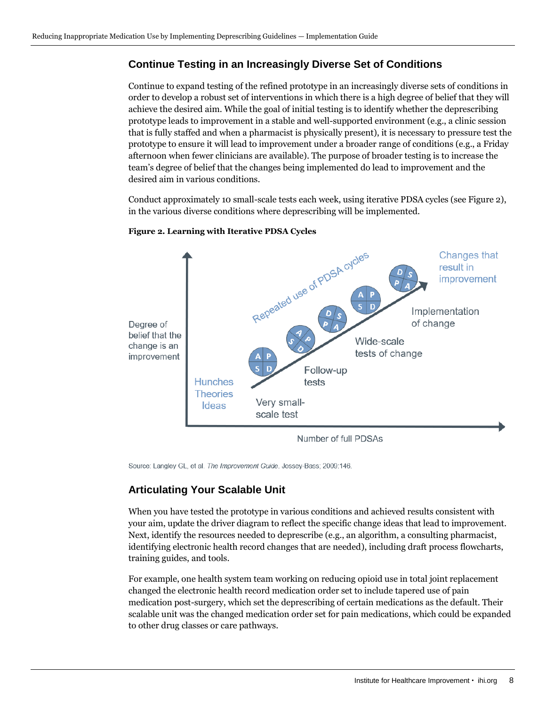### **Continue Testing in an Increasingly Diverse Set of Conditions**

Continue to expand testing of the refined prototype in an increasingly diverse sets of conditions in order to develop a robust set of interventions in which there is a high degree of belief that they will achieve the desired aim. While the goal of initial testing is to identify whether the deprescribing prototype leads to improvement in a stable and well-supported environment (e.g., a clinic session that is fully staffed and when a pharmacist is physically present), it is necessary to pressure test the prototype to ensure it will lead to improvement under a broader range of conditions (e.g., a Friday afternoon when fewer clinicians are available). The purpose of broader testing is to increase the team's degree of belief that the changes being implemented do lead to improvement and the desired aim in various conditions.

Conduct approximately 10 small-scale tests each week, using iterative PDSA cycles (see Figure 2), in the various diverse conditions where deprescribing will be implemented.



#### **Figure 2. Learning with Iterative PDSA Cycles**

Number of full PDSAs

Source: Langley GL, et al. The Improvement Guide. Jossey-Bass; 2009:146.

### **Articulating Your Scalable Unit**

When you have tested the prototype in various conditions and achieved results consistent with your aim, update the driver diagram to reflect the specific change ideas that lead to improvement. Next, identify the resources needed to deprescribe (e.g., an algorithm, a consulting pharmacist, identifying electronic health record changes that are needed), including draft process flowcharts, training guides, and tools.

For example, one health system team working on reducing opioid use in total joint replacement changed the electronic health record medication order set to include tapered use of pain medication post-surgery, which set the deprescribing of certain medications as the default. Their scalable unit was the changed medication order set for pain medications, which could be expanded to other drug classes or care pathways.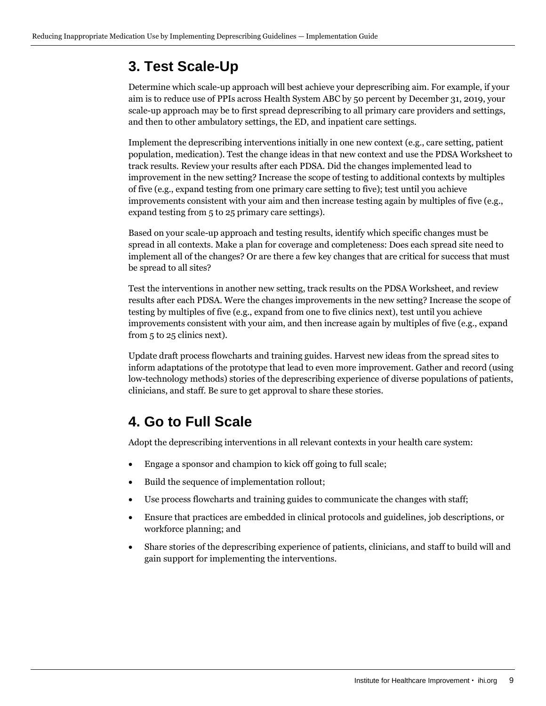# **3. Test Scale-Up**

Determine which scale-up approach will best achieve your deprescribing aim. For example, if your aim is to reduce use of PPIs across Health System ABC by 50 percent by December 31, 2019, your scale-up approach may be to first spread deprescribing to all primary care providers and settings, and then to other ambulatory settings, the ED, and inpatient care settings.

Implement the deprescribing interventions initially in one new context (e.g., care setting, patient population, medication). Test the change ideas in that new context and use the PDSA Worksheet to track results. Review your results after each PDSA. Did the changes implemented lead to improvement in the new setting? Increase the scope of testing to additional contexts by multiples of five (e.g., expand testing from one primary care setting to five); test until you achieve improvements consistent with your aim and then increase testing again by multiples of five (e.g., expand testing from 5 to 25 primary care settings).

Based on your scale-up approach and testing results, identify which specific changes must be spread in all contexts. Make a plan for coverage and completeness: Does each spread site need to implement all of the changes? Or are there a few key changes that are critical for success that must be spread to all sites?

Test the interventions in another new setting, track results on the PDSA Worksheet, and review results after each PDSA. Were the changes improvements in the new setting? Increase the scope of testing by multiples of five (e.g., expand from one to five clinics next), test until you achieve improvements consistent with your aim, and then increase again by multiples of five (e.g., expand from 5 to 25 clinics next).

Update draft process flowcharts and training guides. Harvest new ideas from the spread sites to inform adaptations of the prototype that lead to even more improvement. Gather and record (using low-technology methods) stories of the deprescribing experience of diverse populations of patients, clinicians, and staff. Be sure to get approval to share these stories.

# **4. Go to Full Scale**

Adopt the deprescribing interventions in all relevant contexts in your health care system:

- Engage a sponsor and champion to kick off going to full scale;
- Build the sequence of implementation rollout;
- Use process flowcharts and training guides to communicate the changes with staff;
- Ensure that practices are embedded in clinical protocols and guidelines, job descriptions, or workforce planning; and
- Share stories of the deprescribing experience of patients, clinicians, and staff to build will and gain support for implementing the interventions.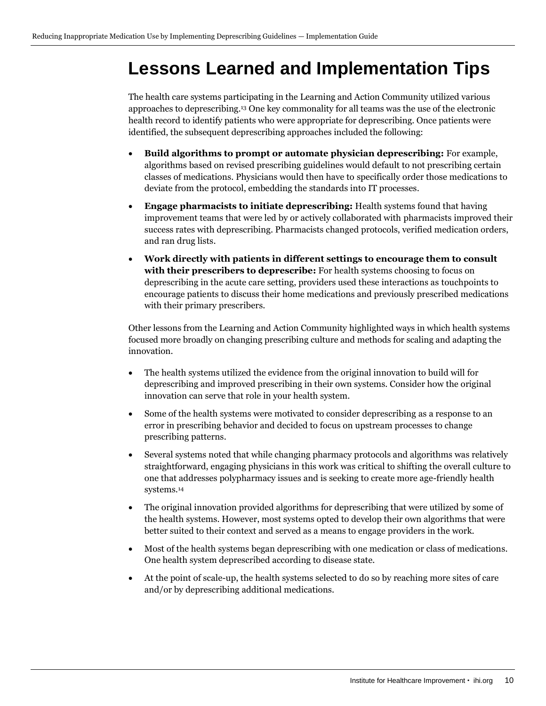# <span id="page-9-0"></span>**Lessons Learned and Implementation Tips**

The health care systems participating in the Learning and Action Community utilized various approaches to deprescribing.<sup>13</sup> One key commonality for all teams was the use of the electronic health record to identify patients who were appropriate for deprescribing. Once patients were identified, the subsequent deprescribing approaches included the following:

- **Build algorithms to prompt or automate physician deprescribing:** For example, algorithms based on revised prescribing guidelines would default to not prescribing certain classes of medications. Physicians would then have to specifically order those medications to deviate from the protocol, embedding the standards into IT processes.
- **Engage pharmacists to initiate deprescribing:** Health systems found that having improvement teams that were led by or actively collaborated with pharmacists improved their success rates with deprescribing. Pharmacists changed protocols, verified medication orders, and ran drug lists.
- **Work directly with patients in different settings to encourage them to consult with their prescribers to deprescribe:** For health systems choosing to focus on deprescribing in the acute care setting, providers used these interactions as touchpoints to encourage patients to discuss their home medications and previously prescribed medications with their primary prescribers.

Other lessons from the Learning and Action Community highlighted ways in which health systems focused more broadly on changing prescribing culture and methods for scaling and adapting the innovation.

- The health systems utilized the evidence from the original innovation to build will for deprescribing and improved prescribing in their own systems. Consider how the original innovation can serve that role in your health system.
- Some of the health systems were motivated to consider deprescribing as a response to an error in prescribing behavior and decided to focus on upstream processes to change prescribing patterns.
- Several systems noted that while changing pharmacy protocols and algorithms was relatively straightforward, engaging physicians in this work was critical to shifting the overall culture to one that addresses polypharmacy issues and is seeking to create more age-friendly health systems.<sup>14</sup>
- The original innovation provided algorithms for deprescribing that were utilized by some of the health systems. However, most systems opted to develop their own algorithms that were better suited to their context and served as a means to engage providers in the work.
- Most of the health systems began deprescribing with one medication or class of medications. One health system deprescribed according to disease state.
- At the point of scale-up, the health systems selected to do so by reaching more sites of care and/or by deprescribing additional medications.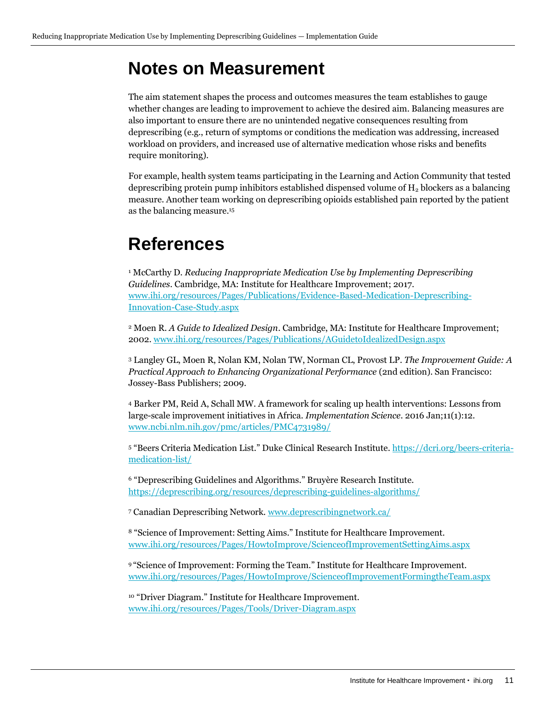# <span id="page-10-0"></span>**Notes on Measurement**

The aim statement shapes the process and outcomes measures the team establishes to gauge whether changes are leading to improvement to achieve the desired aim. Balancing measures are also important to ensure there are no unintended negative consequences resulting from deprescribing (e.g., return of symptoms or conditions the medication was addressing, increased workload on providers, and increased use of alternative medication whose risks and benefits require monitoring).

For example, health system teams participating in the Learning and Action Community that tested deprescribing protein pump inhibitors established dispensed volume of  $H_2$  blockers as a balancing measure. Another team working on deprescribing opioids established pain reported by the patient as the balancing measure.<sup>15</sup>

# <span id="page-10-1"></span>**References**

<sup>1</sup> McCarthy D. *Reducing Inappropriate Medication Use by Implementing Deprescribing Guidelines*. Cambridge, MA: Institute for Healthcare Improvement; 2017. [www.ihi.org/resources/Pages/Publications/Evidence-Based-Medication-Deprescribing-](http://www.ihi.org/resources/Pages/Publications/Evidence-Based-Medication-Deprescribing-Innovation-Case-Study.aspx)[Innovation-Case-Study.aspx](http://www.ihi.org/resources/Pages/Publications/Evidence-Based-Medication-Deprescribing-Innovation-Case-Study.aspx)

<sup>2</sup> Moen R. *A Guide to Idealized Design*. Cambridge, MA: Institute for Healthcare Improvement; 2002. [www.ihi.org/resources/Pages/Publications/AGuidetoIdealizedDesign.aspx](http://www.ihi.org/resources/Pages/Publications/AGuidetoIdealizedDesign.aspx)

<sup>3</sup> Langley GL, Moen R, Nolan KM, Nolan TW, Norman CL, Provost LP. *The Improvement Guide: A Practical Approach to Enhancing Organizational Performance* (2nd edition). San Francisco: Jossey-Bass Publishers; 2009.

<sup>4</sup> Barker PM, Reid A, Schall MW. A framework for scaling up health interventions: Lessons from large-scale improvement initiatives in Africa. *Implementation Science*. 2016 Jan;11(1):12. [www.ncbi.nlm.nih.gov/pmc/articles/PMC4731989/](https://www.ncbi.nlm.nih.gov/pmc/articles/PMC4731989/)

<sup>5</sup> "Beers Criteria Medication List." Duke Clinical Research Institute. [https://dcri.org/beers-criteria](https://dcri.org/beers-criteria-medication-list/)[medication-list/](https://dcri.org/beers-criteria-medication-list/)

<sup>6</sup> "Deprescribing Guidelines and Algorithms." Bruyère Research Institute. <https://deprescribing.org/resources/deprescribing-guidelines-algorithms/>

<sup>7</sup> Canadian Deprescribing Network[. www.deprescribingnetwork.ca/](https://www.deprescribingnetwork.ca/)

<sup>8</sup> "Science of Improvement: Setting Aims." Institute for Healthcare Improvement. [www.ihi.org/resources/Pages/HowtoImprove/ScienceofImprovementSettingAims.aspx](http://www.ihi.org/resources/Pages/HowtoImprove/ScienceofImprovementSettingAims.aspx)

<sup>9</sup> "Science of Improvement: Forming the Team." Institute for Healthcare Improvement. [www.ihi.org/resources/Pages/HowtoImprove/ScienceofImprovementFormingtheTeam.aspx](http://www.ihi.org/resources/Pages/HowtoImprove/ScienceofImprovementFormingtheTeam.aspx)

<sup>10</sup> "Driver Diagram." Institute for Healthcare Improvement. [www.ihi.org/resources/Pages/Tools/Driver-Diagram.aspx](http://www.ihi.org/resources/Pages/Tools/Driver-Diagram.aspx)